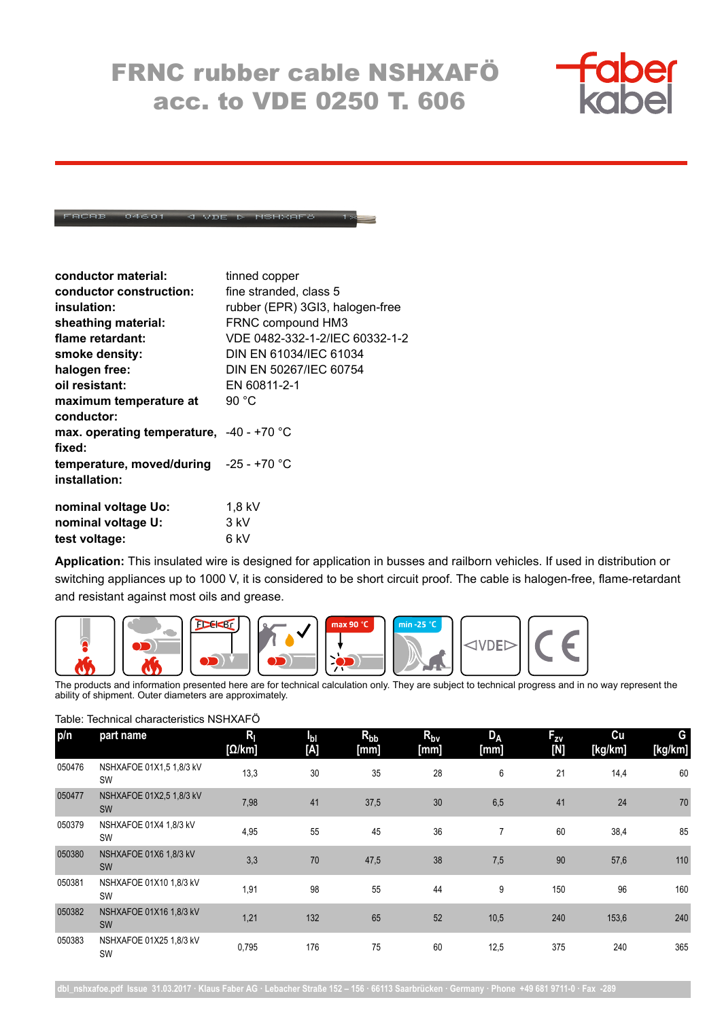## FRNC rubber cable NSHXAFÖ acc. to VDE 0250 T. 606



## VDE D NSHXAFC

| conductor material:                        | tinned copper                   |
|--------------------------------------------|---------------------------------|
| conductor construction:                    | fine stranded, class 5          |
| insulation:                                | rubber (EPR) 3GI3, halogen-free |
| sheathing material:                        | FRNC compound HM3               |
| flame retardant:                           | VDE 0482-332-1-2/IEC 60332-1-2  |
| smoke density:                             | DIN EN 61034/IEC 61034          |
| halogen free:                              | DIN EN 50267/IEC 60754          |
| oil resistant:                             | EN 60811-2-1                    |
| maximum temperature at                     | 90 $^{\circ}$ C                 |
| conductor:                                 |                                 |
| max. operating temperature, $-40 - +70$ °C |                                 |
| fixed:                                     |                                 |
| temperature, moved/during $-25 - +70$ °C   |                                 |
| installation:                              |                                 |
| nominal voltage Uo:                        | $1,8$ kV                        |
| nominal voltage U:                         | 3 kV                            |
| test voltage:                              | 6 kV                            |

**Application:** This insulated wire is designed for application in busses and railborn vehicles. If used in distribution or switching appliances up to 1000 V, it is considered to be short circuit proof. The cable is halogen-free, flame-retardant and resistant against most oils and grease.



The products and information presented here are for technical calculation only. They are subject to technical progress and in no way represent the ability of shipment. Outer diameters are approximately.

Table: Technical characteristics NSHXAFÖ

| p/n    | part name                             | $R_{\parallel}$<br>[Q/km] | Iы<br>[A] | $R_{bb}$<br>[mm] | $R_{\text{bv}}$<br>[mm] | <b>DA</b><br>[mm] | $F_{zy}$<br>[N] | Cu<br>[kg/km] | G<br>[kg/km] |
|--------|---------------------------------------|---------------------------|-----------|------------------|-------------------------|-------------------|-----------------|---------------|--------------|
| 050476 | NSHXAFOE 01X1,5 1,8/3 kV<br><b>SW</b> | 13.3                      | 30        | 35               | 28                      | 6                 | 21              | 14,4          | 60           |
| 050477 | NSHXAFOE 01X2,5 1,8/3 kV<br><b>SW</b> | 7,98                      | 41        | 37,5             | 30                      | 6,5               | 41              | 24            | 70           |
| 050379 | NSHXAFOE 01X4 1,8/3 kV<br><b>SW</b>   | 4,95                      | 55        | 45               | 36                      | $\overline{7}$    | 60              | 38,4          | 85           |
| 050380 | NSHXAFOE 01X6 1,8/3 kV<br><b>SW</b>   | 3,3                       | 70        | 47,5             | 38                      | 7,5               | 90              | 57,6          | 110          |
| 050381 | NSHXAFOE 01X10 1,8/3 kV<br><b>SW</b>  | 1,91                      | 98        | 55               | 44                      | 9                 | 150             | 96            | 160          |
| 050382 | NSHXAFOE 01X16 1,8/3 kV<br><b>SW</b>  | 1,21                      | 132       | 65               | 52                      | 10,5              | 240             | 153,6         | 240          |
| 050383 | NSHXAFOE 01X25 1,8/3 kV<br>SW         | 0,795                     | 176       | 75               | 60                      | 12,5              | 375             | 240           | 365          |